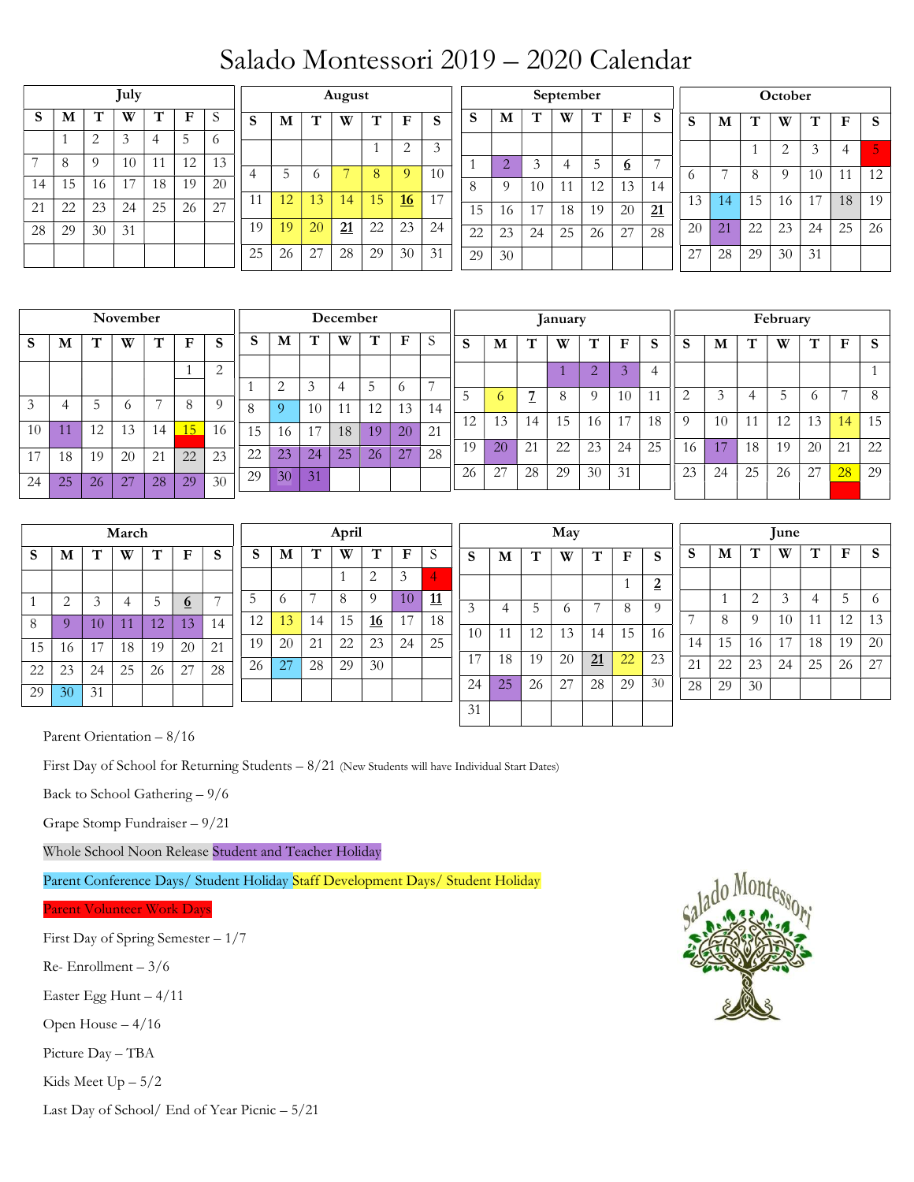## Salado Montessori 2019 – 2020 Calendar

| July           |                                       |                |          |                |              |                 |                | August         |    |                |              |                |                |                |                | September      |                |                |                 |    |                |          |             | October        |    |              |    |  |  |  |  |
|----------------|---------------------------------------|----------------|----------|----------------|--------------|-----------------|----------------|----------------|----|----------------|--------------|----------------|----------------|----------------|----------------|----------------|----------------|----------------|-----------------|----|----------------|----------|-------------|----------------|----|--------------|----|--|--|--|--|
| S              | M                                     | T              | W        | T              | $\mathbf{F}$ | S               | S              | M              | T  | W              | T            | ${\bf F}$      | S              | S              | M              | T              | W              | T              | F               | S  | S              | M        | т           | W              | T  | $\mathbf F$  | S  |  |  |  |  |
|                |                                       | $\overline{2}$ | 3        | 4              | 5            | 6               |                |                |    |                | $\mathbf{1}$ | $\overline{2}$ | 3              |                |                |                |                |                |                 |    |                |          |             | $\overline{2}$ | 3  | 4            | 5  |  |  |  |  |
| $\overline{ }$ | 8                                     | $\Omega$       | 10       | 11             | 12           | 13              |                | 5              |    | $\overline{7}$ | 8            | 9              | 10             | $\overline{1}$ | $\overline{2}$ | 3              | 4              | 5              | $6\overline{6}$ | 7  |                | 7        |             |                |    |              |    |  |  |  |  |
| 14             | 15                                    | 16             | 17       | 18             | 19           | 20              | $\overline{4}$ |                | 6  |                |              |                |                | 8              | $\Omega$       | 10             | 11             | 12             | 13              | 14 | 6              |          | 8           | 9              | 10 | 11           | 12 |  |  |  |  |
| 21             | 22                                    | 23             | 24       | 25             | 26           | $\overline{27}$ | 11             | 12             | 13 | 14             | 15           | 16             | 17             | 15             | 16             | 17             | 18             | 19             | 20              | 21 | 13             | 14       | 15          | 16             | 17 | 18           | 19 |  |  |  |  |
| 28             | 29                                    | 30             | 31       |                |              |                 | 19             | 19             | 20 | 21             | 22           | 23             | 24             | 22             | 23             | 24             | 25             | 26             | 27              | 28 | 20             | 21       | 22          | 23             | 24 | 25           | 26 |  |  |  |  |
|                |                                       |                |          |                |              |                 | 25             | 26             | 27 | 28             | 29           | 30             | 31             | 29             | 30             |                |                |                |                 |    | 27             | 28       | 29          | 30             | 31 |              |    |  |  |  |  |
|                |                                       |                | November |                |              |                 |                | December       |    |                |              |                |                |                | January        |                |                |                |                 |    |                | February |             |                |    |              |    |  |  |  |  |
| <sub>S</sub>   | S<br>T<br>т<br>W<br>$\mathbf{F}$<br>М |                |          |                |              |                 | S              | M              | T  | W              | т            | $\mathbf{F}$   | S              | S              | M              | T              | W              | T              | F               | S  | S              | M        | $\mathbf T$ | W              | T  | $\mathbf{F}$ | S  |  |  |  |  |
|                |                                       |                |          |                |              |                 |                |                |    |                |              |                |                |                |                |                |                |                |                 |    |                |          |             |                |    |              |    |  |  |  |  |
|                |                                       |                |          |                |              | $\overline{2}$  |                | $\overline{2}$ | 3  | $\overline{4}$ | 5            | 6              | $\overline{7}$ |                |                |                | $\overline{1}$ | 2              | 3               | 4  |                |          |             |                |    |              |    |  |  |  |  |
| 3              | 4                                     | 5              | 6        | $\overline{7}$ | 8            | 9               |                | $\overline{Q}$ |    |                |              |                |                | 5              | 6              | $\overline{z}$ | 8              | $\overline{Q}$ | 10              | 11 | $\overline{2}$ | 3        | 4           | 5              | 6  | 7            | 8  |  |  |  |  |
|                |                                       |                |          |                |              |                 | 8              |                | 10 | 11             | 12           | 13             | 14             | 12             | 13             | 14             | 15             | 16             | 17              | 18 | $\Omega$       | 10       | 11          | 12             | 13 | 14           | 15 |  |  |  |  |
| 10             | 11                                    | 12             | 13       | 14             | 15           | 16              | 15             | 16             | 17 | 18             | 19           | 20             | 21             | 19             |                |                |                |                |                 |    |                | 17       |             |                |    |              |    |  |  |  |  |
| 17             | 18                                    | 19             | 20       | 21             | 22           | 23              | 22             | 23             | 24 | 25             | 26           | 27             | 28             |                | 20             | 21             | 22             | 23             | 24              | 25 | 16             |          | 18          | 19             | 20 | 21           | 22 |  |  |  |  |
| 24             | 25                                    | 26             | 27       | 28             | 29           | 30              | 29             | 30             | 31 |                |              |                |                | 26             | 27             | 28             | 29             | 30             | 31              |    | 23             | 24       | 25          | 26             | 27 | 28           | 29 |  |  |  |  |

| March |    |    |    |    |          |        |    | April      |    |    |           |    |               |              |    | May |    |    |    |              |         |    |          | <b>June</b> |    |    |          |  |  |  |
|-------|----|----|----|----|----------|--------|----|------------|----|----|-----------|----|---------------|--------------|----|-----|----|----|----|--------------|---------|----|----------|-------------|----|----|----------|--|--|--|
| S     | M  | Ţ  | W  |    | F        | c<br>э | S  | M          |    | W  |           | F  | $\mathcal{D}$ | $\sim$<br>2  | M  | т   | W  | T  | F  | <sub>S</sub> | C<br>э. | M  | Т        | W           |    | F  | <b>S</b> |  |  |  |
|       |    |    |    |    |          |        |    |            |    |    | 2         | 3  | 4             |              |    |     |    |    |    | റ<br>▵       |         |    |          |             |    |    |          |  |  |  |
|       |    | ↗  |    |    | <u>o</u> | -      | 5  | $\circ$    |    |    | -9        | 10 | 11            | $\sim$<br>-3 |    | h   |    |    | 8  | $^{\circ}$   |         |    | ◠        | 3           | 4  | 5  | -6       |  |  |  |
| 8     |    | 10 |    | 12 | 13       | 14     | 12 | $\sqrt{3}$ | 14 | 15 | <u>16</u> | 17 | 18            |              |    |     |    |    |    |              | -       | 8  | $\Omega$ | 10          |    | 12 | 13       |  |  |  |
| 15    | 16 |    | 18 | 10 | 20       | 21     | 19 | 20         | 21 | 22 | 23        | 24 | 25            | 10           |    | 12  | 13 | 14 | 15 | 16           | 14      | 15 | 16       | 17          | 18 | 19 | 20       |  |  |  |
| 22    | 23 | 24 | 25 | 26 | 27       | 28     | 26 | 27         | 28 | 29 | 30        |    |               | 17           | 18 | 19  | 20 | 21 | 22 | 23           | 21      | 22 | 23       | 24          | 25 | 26 | 27       |  |  |  |
| 29    | 30 | 31 |    |    |          |        |    |            |    |    |           |    |               | 24           | 25 | 26  | 27 | 28 | 29 | 30           | 28      | 29 | 30       |             |    |    |          |  |  |  |
|       |    |    |    |    |          |        |    |            |    |    |           |    |               | 31           |    |     |    |    |    |              |         |    |          |             |    |    |          |  |  |  |
|       |    |    |    |    |          |        |    |            |    |    |           |    |               |              |    |     |    |    |    |              |         |    |          |             |    |    |          |  |  |  |

Parent Orientation – 8/16

First Day of School for Returning Students – 8/21 (New Students will have Individual Start Dates)

Back to School Gathering – 9/6

Grape Stomp Fundraiser – 9/21

Whole School Noon Release Student and Teacher Holiday

Parent Conference Days/ Student Holiday Staff Development Days/ Student Holiday

Parent Volunteer Work Days

First Day of Spring Semester – 1/7

Re- Enrollment – 3/6

Easter Egg Hunt – 4/11

Open House – 4/16

Picture Day – TBA

Kids Meet Up – 5/2

Last Day of School/ End of Year Picnic – 5/21